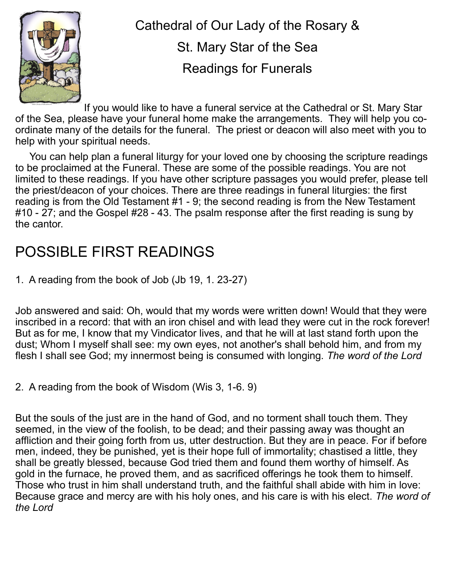

Cathedral of Our Lady of the Rosary & St. Mary Star of the Sea Readings for Funerals

If you would like to have a funeral service at the Cathedral or St. Mary Star of the Sea, please have your funeral home make the arrangements. They will help you coordinate many of the details for the funeral. The priest or deacon will also meet with you to help with your spiritual needs.

 You can help plan a funeral liturgy for your loved one by choosing the scripture readings to be proclaimed at the Funeral. These are some of the possible readings. You are not limited to these readings. If you have other scripture passages you would prefer, please tell the priest/deacon of your choices. There are three readings in funeral liturgies: the first reading is from the Old Testament #1 - 9; the second reading is from the New Testament #10 - 27; and the Gospel #28 - 43. The psalm response after the first reading is sung by the cantor.

# POSSIBLE FIRST READINGS

1. A reading from the book of Job (Jb 19, 1. 23-27)

Job answered and said: Oh, would that my words were written down! Would that they were inscribed in a record: that with an iron chisel and with lead they were cut in the rock forever! But as for me, I know that my Vindicator lives, and that he will at last stand forth upon the dust; Whom I myself shall see: my own eyes, not another's shall behold him, and from my flesh I shall see God; my innermost being is consumed with longing. *The word of the Lord*

2. A reading from the book of Wisdom (Wis 3, 1-6. 9)

But the souls of the just are in the hand of God, and no torment shall touch them. They seemed, in the view of the foolish, to be dead; and their passing away was thought an affliction and their going forth from us, utter destruction. But they are in peace. For if before men, indeed, they be punished, yet is their hope full of immortality; chastised a little, they shall be greatly blessed, because God tried them and found them worthy of himself. As gold in the furnace, he proved them, and as sacrificed offerings he took them to himself. Those who trust in him shall understand truth, and the faithful shall abide with him in love: Because grace and mercy are with his holy ones, and his care is with his elect. *The word of the Lord*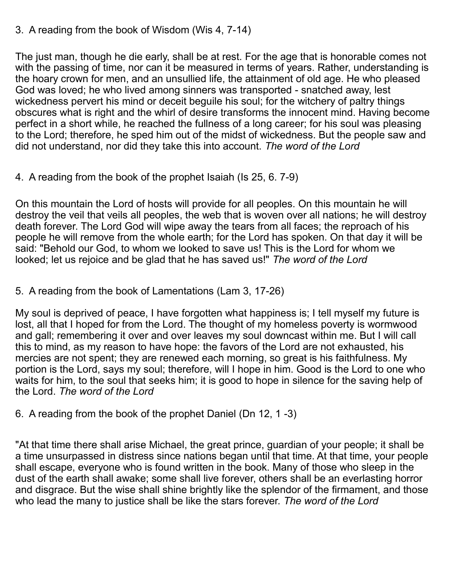# 3. A reading from the book of Wisdom (Wis 4, 7-14)

The just man, though he die early, shall be at rest. For the age that is honorable comes not with the passing of time, nor can it be measured in terms of years. Rather, understanding is the hoary crown for men, and an unsullied life, the attainment of old age. He who pleased God was loved; he who lived among sinners was transported - snatched away, lest wickedness pervert his mind or deceit beguile his soul; for the witchery of paltry things obscures what is right and the whirl of desire transforms the innocent mind. Having become perfect in a short while, he reached the fullness of a long career; for his soul was pleasing to the Lord; therefore, he sped him out of the midst of wickedness. But the people saw and did not understand, nor did they take this into account. *The word of the Lord*

# 4. A reading from the book of the prophet Isaiah (Is 25, 6. 7-9)

On this mountain the Lord of hosts will provide for all peoples. On this mountain he will destroy the veil that veils all peoples, the web that is woven over all nations; he will destroy death forever. The Lord God will wipe away the tears from all faces; the reproach of his people he will remove from the whole earth; for the Lord has spoken. On that day it will be said: "Behold our God, to whom we looked to save us! This is the Lord for whom we looked; let us rejoice and be glad that he has saved us!" *The word of the Lord*

# 5. A reading from the book of Lamentations (Lam 3, 17-26)

My soul is deprived of peace, I have forgotten what happiness is; I tell myself my future is lost, all that I hoped for from the Lord. The thought of my homeless poverty is wormwood and gall; remembering it over and over leaves my soul downcast within me. But I will call this to mind, as my reason to have hope: the favors of the Lord are not exhausted, his mercies are not spent; they are renewed each morning, so great is his faithfulness. My portion is the Lord, says my soul; therefore, will I hope in him. Good is the Lord to one who waits for him, to the soul that seeks him; it is good to hope in silence for the saving help of the Lord. *The word of the Lord*

#### 6. A reading from the book of the prophet Daniel (Dn 12, 1 -3)

"At that time there shall arise Michael, the great prince, guardian of your people; it shall be a time unsurpassed in distress since nations began until that time. At that time, your people shall escape, everyone who is found written in the book. Many of those who sleep in the dust of the earth shall awake; some shall live forever, others shall be an everlasting horror and disgrace. But the wise shall shine brightly like the splendor of the firmament, and those who lead the many to justice shall be like the stars forever. *The word of the Lord*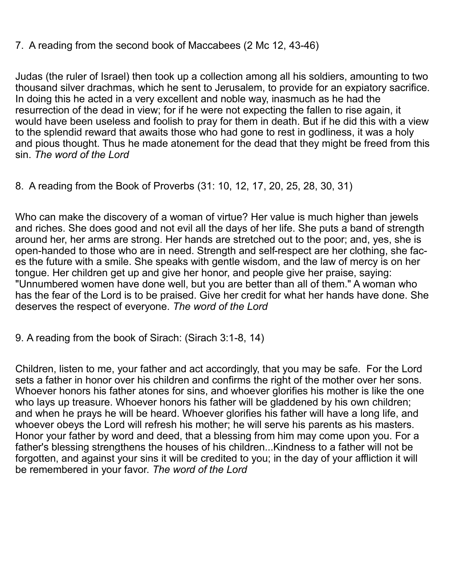7. A reading from the second book of Maccabees (2 Mc 12, 43-46)

Judas (the ruler of Israel) then took up a collection among all his soldiers, amounting to two thousand silver drachmas, which he sent to Jerusalem, to provide for an expiatory sacrifice. In doing this he acted in a very excellent and noble way, inasmuch as he had the resurrection of the dead in view; for if he were not expecting the fallen to rise again, it would have been useless and foolish to pray for them in death. But if he did this with a view to the splendid reward that awaits those who had gone to rest in godliness, it was a holy and pious thought. Thus he made atonement for the dead that they might be freed from this sin. *The word of the Lord*

8. A reading from the Book of Proverbs (31: 10, 12, 17, 20, 25, 28, 30, 31)

Who can make the discovery of a woman of virtue? Her value is much higher than jewels and riches. She does good and not evil all the days of her life. She puts a band of strength around her, her arms are strong. Her hands are stretched out to the poor; and, yes, she is open-handed to those who are in need. Strength and self-respect are her clothing, she faces the future with a smile. She speaks with gentle wisdom, and the law of mercy is on her tongue. Her children get up and give her honor, and people give her praise, saying: "Unnumbered women have done well, but you are better than all of them." A woman who has the fear of the Lord is to be praised. Give her credit for what her hands have done. She deserves the respect of everyone. *The word of the Lord*

9. A reading from the book of Sirach: (Sirach 3:1-8, 14)

Children, listen to me, your father and act accordingly, that you may be safe. For the Lord sets a father in honor over his children and confirms the right of the mother over her sons. Whoever honors his father atones for sins, and whoever glorifies his mother is like the one who lays up treasure. Whoever honors his father will be gladdened by his own children; and when he prays he will be heard. Whoever glorifies his father will have a long life, and whoever obeys the Lord will refresh his mother; he will serve his parents as his masters. Honor your father by word and deed, that a blessing from him may come upon you. For a father's blessing strengthens the houses of his children...Kindness to a father will not be forgotten, and against your sins it will be credited to you; in the day of your affliction it will be remembered in your favor. *The word of the Lord*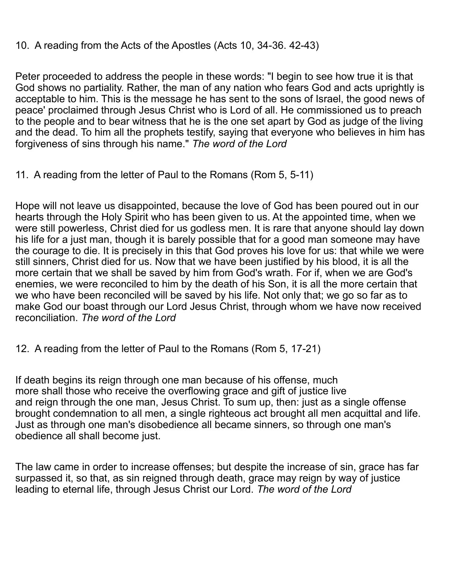# 10. A reading from the Acts of the Apostles (Acts 10, 34-36. 42-43)

Peter proceeded to address the people in these words: "I begin to see how true it is that God shows no partiality. Rather, the man of any nation who fears God and acts uprightly is acceptable to him. This is the message he has sent to the sons of Israel, the good news of peace' proclaimed through Jesus Christ who is Lord of all. He commissioned us to preach to the people and to bear witness that he is the one set apart by God as judge of the living and the dead. To him all the prophets testify, saying that everyone who believes in him has forgiveness of sins through his name." *The word of the Lord*

#### 11. A reading from the letter of Paul to the Romans (Rom 5, 5-11)

Hope will not leave us disappointed, because the love of God has been poured out in our hearts through the Holy Spirit who has been given to us. At the appointed time, when we were still powerless, Christ died for us godless men. It is rare that anyone should lay down his life for a just man, though it is barely possible that for a good man someone may have the courage to die. It is precisely in this that God proves his love for us: that while we were still sinners, Christ died for us. Now that we have been justified by his blood, it is all the more certain that we shall be saved by him from God's wrath. For if, when we are God's enemies, we were reconciled to him by the death of his Son, it is all the more certain that we who have been reconciled will be saved by his life. Not only that; we go so far as to make God our boast through our Lord Jesus Christ, through whom we have now received reconciliation. *The word of the Lord*

#### 12. A reading from the letter of Paul to the Romans (Rom 5, 17-21)

If death begins its reign through one man because of his offense, much more shall those who receive the overflowing grace and gift of justice live and reign through the one man, Jesus Christ. To sum up, then: just as a single offense brought condemnation to all men, a single righteous act brought all men acquittal and life. Just as through one man's disobedience all became sinners, so through one man's obedience all shall become just.

The law came in order to increase offenses; but despite the increase of sin, grace has far surpassed it, so that, as sin reigned through death, grace may reign by way of justice leading to eternal life, through Jesus Christ our Lord. *The word of the Lord*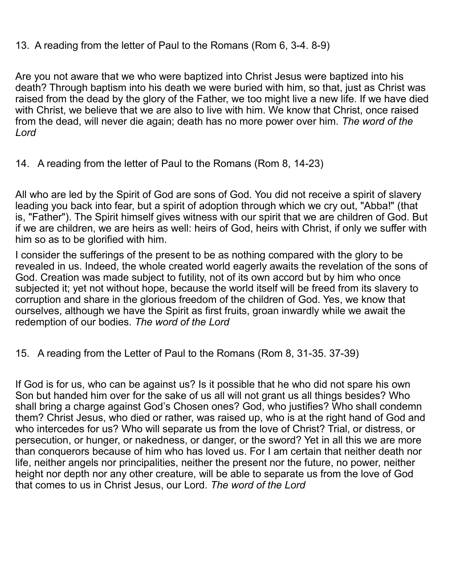# 13. A reading from the letter of Paul to the Romans (Rom 6, 3-4. 8-9)

Are you not aware that we who were baptized into Christ Jesus were baptized into his death? Through baptism into his death we were buried with him, so that, just as Christ was raised from the dead by the glory of the Father, we too might live a new life. If we have died with Christ, we believe that we are also to live with him. We know that Christ, once raised from the dead, will never die again; death has no more power over him. *The word of the Lord*

14. A reading from the letter of Paul to the Romans (Rom 8, 14-23)

All who are led by the Spirit of God are sons of God. You did not receive a spirit of slavery leading you back into fear, but a spirit of adoption through which we cry out, "Abba!" (that is, "Father"). The Spirit himself gives witness with our spirit that we are children of God. But if we are children, we are heirs as well: heirs of God, heirs with Christ, if only we suffer with him so as to be glorified with him.

I consider the sufferings of the present to be as nothing compared with the glory to be revealed in us. Indeed, the whole created world eagerly awaits the revelation of the sons of God. Creation was made subject to futility, not of its own accord but by him who once subjected it; yet not without hope, because the world itself will be freed from its slavery to corruption and share in the glorious freedom of the children of God. Yes, we know that ourselves, although we have the Spirit as first fruits, groan inwardly while we await the redemption of our bodies. *The word of the Lord*

15. A reading from the Letter of Paul to the Romans (Rom 8, 31-35. 37-39)

If God is for us, who can be against us? Is it possible that he who did not spare his own Son but handed him over for the sake of us all will not grant us all things besides? Who shall bring a charge against God's Chosen ones? God, who justifies? Who shall condemn them? Christ Jesus, who died or rather, was raised up, who is at the right hand of God and who intercedes for us? Who will separate us from the love of Christ? Trial, or distress, or persecution, or hunger, or nakedness, or danger, or the sword? Yet in all this we are more than conquerors because of him who has loved us. For I am certain that neither death nor life, neither angels nor principalities, neither the present nor the future, no power, neither height nor depth nor any other creature, will be able to separate us from the love of God that comes to us in Christ Jesus, our Lord. *The word of the Lord*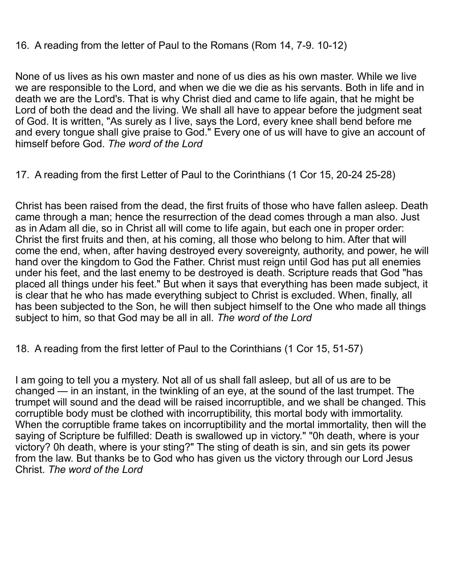### 16. A reading from the letter of Paul to the Romans (Rom 14, 7-9. 10-12)

None of us lives as his own master and none of us dies as his own master. While we live we are responsible to the Lord, and when we die we die as his servants. Both in life and in death we are the Lord's. That is why Christ died and came to life again, that he might be Lord of both the dead and the living. We shall all have to appear before the judgment seat of God. It is written, "As surely as I live, says the Lord, every knee shall bend before me and every tongue shall give praise to God." Every one of us will have to give an account of himself before God. *The word of the Lord*

17. A reading from the first Letter of Paul to the Corinthians (1 Cor 15, 20-24 25-28)

Christ has been raised from the dead, the first fruits of those who have fallen asleep. Death came through a man; hence the resurrection of the dead comes through a man also. Just as in Adam all die, so in Christ all will come to life again, but each one in proper order: Christ the first fruits and then, at his coming, all those who belong to him. After that will come the end, when, after having destroyed every sovereignty, authority, and power, he will hand over the kingdom to God the Father. Christ must reign until God has put all enemies under his feet, and the last enemy to be destroyed is death. Scripture reads that God "has placed all things under his feet." But when it says that everything has been made subject, it is clear that he who has made everything subject to Christ is excluded. When, finally, all has been subjected to the Son, he will then subject himself to the One who made all things subject to him, so that God may be all in all. *The word of the Lord*

18. A reading from the first letter of Paul to the Corinthians (1 Cor 15, 51-57)

I am going to tell you a mystery. Not all of us shall fall asleep, but all of us are to be changed — in an instant, in the twinkling of an eye, at the sound of the last trumpet. The trumpet will sound and the dead will be raised incorruptible, and we shall be changed. This corruptible body must be clothed with incorruptibility, this mortal body with immortality. When the corruptible frame takes on incorruptibility and the mortal immortality, then will the saying of Scripture be fulfilled: Death is swallowed up in victory." "0h death, where is your victory? 0h death, where is your sting?" The sting of death is sin, and sin gets its power from the law. But thanks be to God who has given us the victory through our Lord Jesus Christ. *The word of the Lord*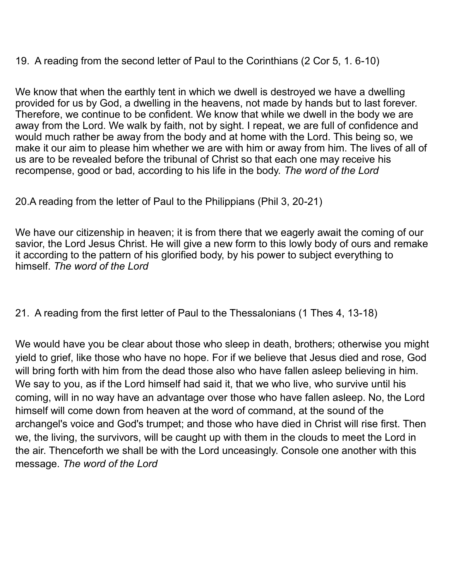# 19. A reading from the second letter of Paul to the Corinthians (2 Cor 5, 1. 6-10)

We know that when the earthly tent in which we dwell is destroyed we have a dwelling provided for us by God, a dwelling in the heavens, not made by hands but to last forever. Therefore, we continue to be confident. We know that while we dwell in the body we are away from the Lord. We walk by faith, not by sight. I repeat, we are full of confidence and would much rather be away from the body and at home with the Lord. This being so, we make it our aim to please him whether we are with him or away from him. The lives of all of us are to be revealed before the tribunal of Christ so that each one may receive his recompense, good or bad, according to his life in the body. *The word of the Lord*

20.A reading from the letter of Paul to the Philippians (Phil 3, 20-21)

We have our citizenship in heaven; it is from there that we eagerly await the coming of our savior, the Lord Jesus Christ. He will give a new form to this lowly body of ours and remake it according to the pattern of his glorified body, by his power to subject everything to himself. *The word of the Lord*

#### 21. A reading from the first letter of Paul to the Thessalonians (1 Thes 4, 13-18)

We would have you be clear about those who sleep in death, brothers; otherwise you might yield to grief, like those who have no hope. For if we believe that Jesus died and rose, God will bring forth with him from the dead those also who have fallen asleep believing in him. We say to you, as if the Lord himself had said it, that we who live, who survive until his coming, will in no way have an advantage over those who have fallen asleep. No, the Lord himself will come down from heaven at the word of command, at the sound of the archangel's voice and God's trumpet; and those who have died in Christ will rise first. Then we, the living, the survivors, will be caught up with them in the clouds to meet the Lord in the air. Thenceforth we shall be with the Lord unceasingly. Console one another with this message. *The word of the Lord*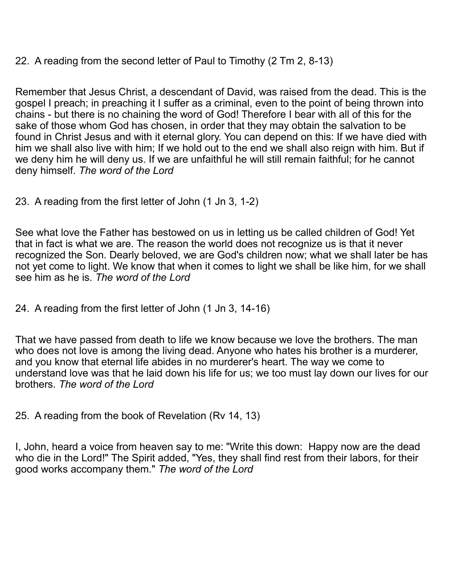### 22. A reading from the second letter of Paul to Timothy (2 Tm 2, 8-13)

Remember that Jesus Christ, a descendant of David, was raised from the dead. This is the gospel I preach; in preaching it I suffer as a criminal, even to the point of being thrown into chains - but there is no chaining the word of God! Therefore I bear with all of this for the sake of those whom God has chosen, in order that they may obtain the salvation to be found in Christ Jesus and with it eternal glory. You can depend on this: If we have died with him we shall also live with him; If we hold out to the end we shall also reign with him. But if we deny him he will deny us. If we are unfaithful he will still remain faithful; for he cannot deny himself. *The word of the Lord*

23. A reading from the first letter of John (1 Jn 3, 1-2)

See what love the Father has bestowed on us in letting us be called children of God! Yet that in fact is what we are. The reason the world does not recognize us is that it never recognized the Son. Dearly beloved, we are God's children now; what we shall later be has not yet come to light. We know that when it comes to light we shall be like him, for we shall see him as he is. *The word of the Lord*

#### 24. A reading from the first letter of John (1 Jn 3, 14-16)

That we have passed from death to life we know because we love the brothers. The man who does not love is among the living dead. Anyone who hates his brother is a murderer, and you know that eternal life abides in no murderer's heart. The way we come to understand love was that he laid down his life for us; we too must lay down our lives for our brothers. *The word of the Lord*

25. A reading from the book of Revelation (Rv 14, 13)

I, John, heard a voice from heaven say to me: "Write this down: Happy now are the dead who die in the Lord!" The Spirit added, "Yes, they shall find rest from their labors, for their good works accompany them." *The word of the Lord*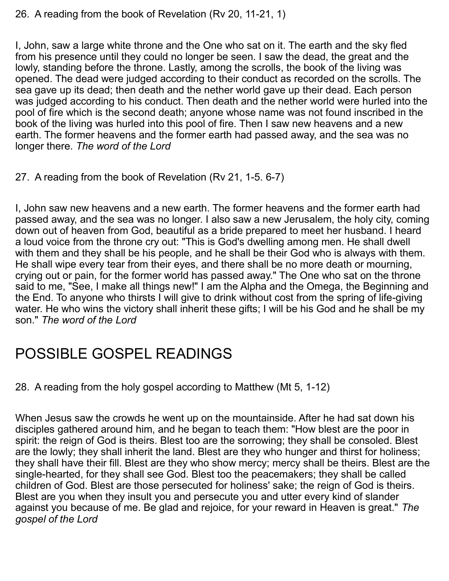#### 26. A reading from the book of Revelation (Rv 20, 11-21, 1)

I, John, saw a large white throne and the One who sat on it. The earth and the sky fled from his presence until they could no longer be seen. I saw the dead, the great and the lowly, standing before the throne. Lastly, among the scrolls, the book of the living was opened. The dead were judged according to their conduct as recorded on the scrolls. The sea gave up its dead; then death and the nether world gave up their dead. Each person was judged according to his conduct. Then death and the nether world were hurled into the pool of fire which is the second death; anyone whose name was not found inscribed in the book of the living was hurled into this pool of fire. Then I saw new heavens and a new earth. The former heavens and the former earth had passed away, and the sea was no longer there. *The word of the Lord*

# 27. A reading from the book of Revelation (Rv 21, 1-5. 6-7)

I, John saw new heavens and a new earth. The former heavens and the former earth had passed away, and the sea was no longer. I also saw a new Jerusalem, the holy city, coming down out of heaven from God, beautiful as a bride prepared to meet her husband. I heard a loud voice from the throne cry out: "This is God's dwelling among men. He shall dwell with them and they shall be his people, and he shall be their God who is always with them. He shall wipe every tear from their eyes, and there shall be no more death or mourning, crying out or pain, for the former world has passed away." The One who sat on the throne said to me, "See, I make all things new!" I am the Alpha and the Omega, the Beginning and the End. To anyone who thirsts I will give to drink without cost from the spring of life-giving water. He who wins the victory shall inherit these gifts; I will be his God and he shall be my son." *The word of the Lord*

# POSSIBLE GOSPEL READINGS

28. A reading from the holy gospel according to Matthew (Mt 5, 1-12)

When Jesus saw the crowds he went up on the mountainside. After he had sat down his disciples gathered around him, and he began to teach them: "How blest are the poor in spirit: the reign of God is theirs. Blest too are the sorrowing; they shall be consoled. Blest are the lowly; they shall inherit the land. Blest are they who hunger and thirst for holiness; they shall have their fill. Blest are they who show mercy; mercy shall be theirs. Blest are the single-hearted, for they shall see God. Blest too the peacemakers; they shall be called children of God. Blest are those persecuted for holiness' sake; the reign of God is theirs. Blest are you when they insult you and persecute you and utter every kind of slander against you because of me. Be glad and rejoice, for your reward in Heaven is great." *The gospel of the Lord*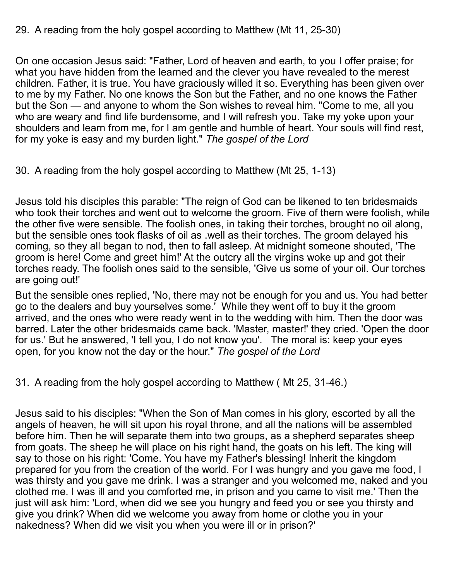29. A reading from the holy gospel according to Matthew (Mt 11, 25-30)

On one occasion Jesus said: "Father, Lord of heaven and earth, to you I offer praise; for what you have hidden from the learned and the clever you have revealed to the merest children. Father, it is true. You have graciously willed it so. Everything has been given over to me by my Father. No one knows the Son but the Father, and no one knows the Father but the Son — and anyone to whom the Son wishes to reveal him. "Come to me, all you who are weary and find life burdensome, and I will refresh you. Take my yoke upon your shoulders and learn from me, for I am gentle and humble of heart. Your souls will find rest, for my yoke is easy and my burden light." *The gospel of the Lord*

30. A reading from the holy gospel according to Matthew (Mt 25, 1-13)

Jesus told his disciples this parable: "The reign of God can be likened to ten bridesmaids who took their torches and went out to welcome the groom. Five of them were foolish, while the other five were sensible. The foolish ones, in taking their torches, brought no oil along, but the sensible ones took flasks of oil as .well as their torches. The groom delayed his coming, so they all began to nod, then to fall asleep. At midnight someone shouted, 'The groom is here! Come and greet him!' At the outcry all the virgins woke up and got their torches ready. The foolish ones said to the sensible, 'Give us some of your oil. Our torches are going out!'

But the sensible ones replied, 'No, there may not be enough for you and us. You had better go to the dealers and buy yourselves some.' While they went off to buy it the groom arrived, and the ones who were ready went in to the wedding with him. Then the door was barred. Later the other bridesmaids came back. 'Master, master!' they cried. 'Open the door for us.' But he answered, 'I tell you, I do not know you'. The moral is: keep your eyes open, for you know not the day or the hour." *The gospel of the Lord*

31. A reading from the holy gospel according to Matthew ( Mt 25, 31-46.)

Jesus said to his disciples: "When the Son of Man comes in his glory, escorted by all the angels of heaven, he will sit upon his royal throne, and all the nations will be assembled before him. Then he will separate them into two groups, as a shepherd separates sheep from goats. The sheep he will place on his right hand, the goats on his left. The king will say to those on his right: 'Come. You have my Father's blessing! Inherit the kingdom prepared for you from the creation of the world. For I was hungry and you gave me food, I was thirsty and you gave me drink. I was a stranger and you welcomed me, naked and you clothed me. I was ill and you comforted me, in prison and you came to visit me.' Then the just will ask him: 'Lord, when did we see you hungry and feed you or see you thirsty and give you drink? When did we welcome you away from home or clothe you in your nakedness? When did we visit you when you were ill or in prison?'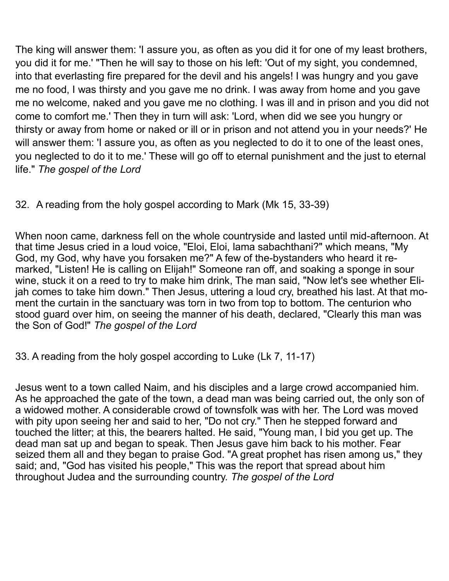The king will answer them: 'I assure you, as often as you did it for one of my least brothers, you did it for me.' "Then he will say to those on his left: 'Out of my sight, you condemned, into that everlasting fire prepared for the devil and his angels! I was hungry and you gave me no food, I was thirsty and you gave me no drink. I was away from home and you gave me no welcome, naked and you gave me no clothing. I was ill and in prison and you did not come to comfort me.' Then they in turn will ask: 'Lord, when did we see you hungry or thirsty or away from home or naked or ill or in prison and not attend you in your needs?' He will answer them: 'I assure you, as often as you neglected to do it to one of the least ones, you neglected to do it to me.' These will go off to eternal punishment and the just to eternal life." *The gospel of the Lord*

32. A reading from the holy gospel according to Mark (Mk 15, 33-39)

When noon came, darkness fell on the whole countryside and lasted until mid-afternoon. At that time Jesus cried in a loud voice, "Eloi, Eloi, lama sabachthani?" which means, "My God, my God, why have you forsaken me?" A few of the-bystanders who heard it remarked, "Listen! He is calling on Elijah!" Someone ran off, and soaking a sponge in sour wine, stuck it on a reed to try to make him drink, The man said, "Now let's see whether Elijah comes to take him down." Then Jesus, uttering a loud cry, breathed his last. At that moment the curtain in the sanctuary was torn in two from top to bottom. The centurion who stood guard over him, on seeing the manner of his death, declared, "Clearly this man was the Son of God!" *The gospel of the Lord*

33. A reading from the holy gospel according to Luke (Lk 7, 11-17)

Jesus went to a town called Naim, and his disciples and a large crowd accompanied him. As he approached the gate of the town, a dead man was being carried out, the only son of a widowed mother. A considerable crowd of townsfolk was with her. The Lord was moved with pity upon seeing her and said to her, "Do not cry." Then he stepped forward and touched the litter; at this, the bearers halted. He said, "Young man, I bid you get up. The dead man sat up and began to speak. Then Jesus gave him back to his mother. Fear seized them all and they began to praise God. "A great prophet has risen among us," they said; and, "God has visited his people," This was the report that spread about him throughout Judea and the surrounding country. *The gospel of the Lord*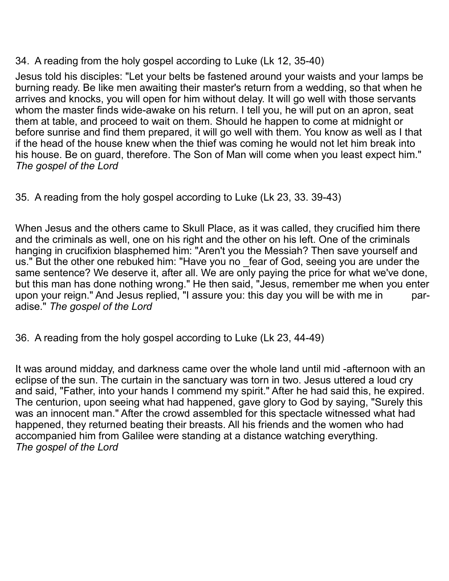# 34. A reading from the holy gospel according to Luke (Lk 12, 35-40)

Jesus told his disciples: "Let your belts be fastened around your waists and your lamps be burning ready. Be like men awaiting their master's return from a wedding, so that when he arrives and knocks, you will open for him without delay. It will go well with those servants whom the master finds wide-awake on his return. I tell you, he will put on an apron, seat them at table, and proceed to wait on them. Should he happen to come at midnight or before sunrise and find them prepared, it will go well with them. You know as well as I that if the head of the house knew when the thief was coming he would not let him break into his house. Be on guard, therefore. The Son of Man will come when you least expect him." *The gospel of the Lord*

35. A reading from the holy gospel according to Luke (Lk 23, 33. 39-43)

When Jesus and the others came to Skull Place, as it was called, they crucified him there and the criminals as well, one on his right and the other on his left. One of the criminals hanging in crucifixion blasphemed him: "Aren't you the Messiah? Then save yourself and us." But the other one rebuked him: "Have you no fear of God, seeing you are under the same sentence? We deserve it, after all. We are only paying the price for what we've done, but this man has done nothing wrong." He then said, "Jesus, remember me when you enter upon your reign." And Jesus replied, "I assure you: this day you will be with me in paradise." *The gospel of the Lord*

36. A reading from the holy gospel according to Luke (Lk 23, 44-49)

It was around midday, and darkness came over the whole land until mid -afternoon with an eclipse of the sun. The curtain in the sanctuary was torn in two. Jesus uttered a loud cry and said, "Father, into your hands I commend my spirit." After he had said this, he expired. The centurion, upon seeing what had happened, gave glory to God by saying, "Surely this was an innocent man." After the crowd assembled for this spectacle witnessed what had happened, they returned beating their breasts. All his friends and the women who had accompanied him from Galilee were standing at a distance watching everything. *The gospel of the Lord*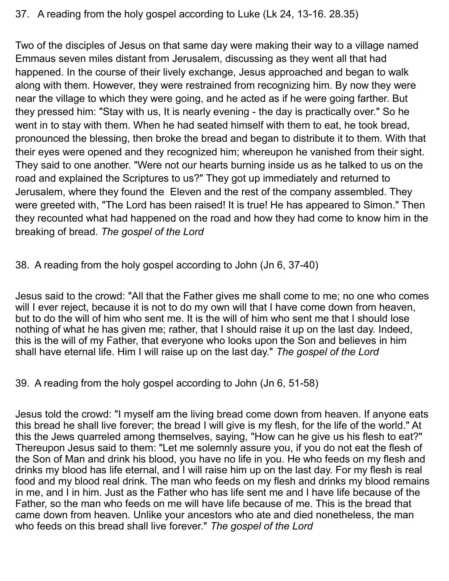# 37. A reading from the holy gospel according to Luke (Lk 24, 13-16. 28.35)

Two of the disciples of Jesus on that same day were making their way to a village named Emmaus seven miles distant from Jerusalem, discussing as they went all that had happened. In the course of their lively exchange, Jesus approached and began to walk along with them. However, they were restrained from recognizing him. By now they were near the village to which they were going, and he acted as if he were going farther. But they pressed him: "Stay with us, It is nearly evening - the day is practically over." So he went in to stay with them. When he had seated himself with them to eat, he took bread, pronounced the blessing, then broke the bread and began to distribute it to them. With that their eyes were opened and they recognized him; whereupon he vanished from their sight. They said to one another. "Were not our hearts burning inside us as he talked to us on the road and explained the Scriptures to us?" They got up immediately and returned to Jerusalem, where they found the Eleven and the rest of the company assembled. They were greeted with, "The Lord has been raised! It is true! He has appeared to Simon." Then they recounted what had happened on the road and how they had come to know him in the breaking of bread. *The gospel of the Lord*

38. A reading from the holy gospel according to John (Jn 6, 37-40)

Jesus said to the crowd: "All that the Father gives me shall come to me; no one who comes will I ever reject, because it is not to do my own will that I have come down from heaven, but to do the will of him who sent me. It is the will of him who sent me that I should lose nothing of what he has given me; rather, that I should raise it up on the last day. Indeed, this is the will of my Father, that everyone who looks upon the Son and believes in him shall have eternal life. Him I will raise up on the last day." *The gospel of the Lord*

39. A reading from the holy gospel according to John (Jn 6, 51-58)

Jesus told the crowd: "I myself am the living bread come down from heaven. If anyone eats this bread he shall live forever; the bread I will give is my flesh, for the life of the world." At this the Jews quarreled among themselves, saying, "How can he give us his flesh to eat?" Thereupon Jesus said to them: "Let me solemnly assure you, if you do not eat the flesh of the Son of Man and drink his blood, you have no life in you. He who feeds on my flesh and drinks my blood has life eternal, and I will raise him up on the last day. For my flesh is real food and my blood real drink. The man who feeds on my flesh and drinks my blood remains in me, and I in him. Just as the Father who has life sent me and I have life because of the Father, so the man who feeds on me will have life because of me. This is the bread that came down from heaven. Unlike your ancestors who ate and died nonetheless, the man who feeds on this bread shall live forever." *The gospel of the Lord*